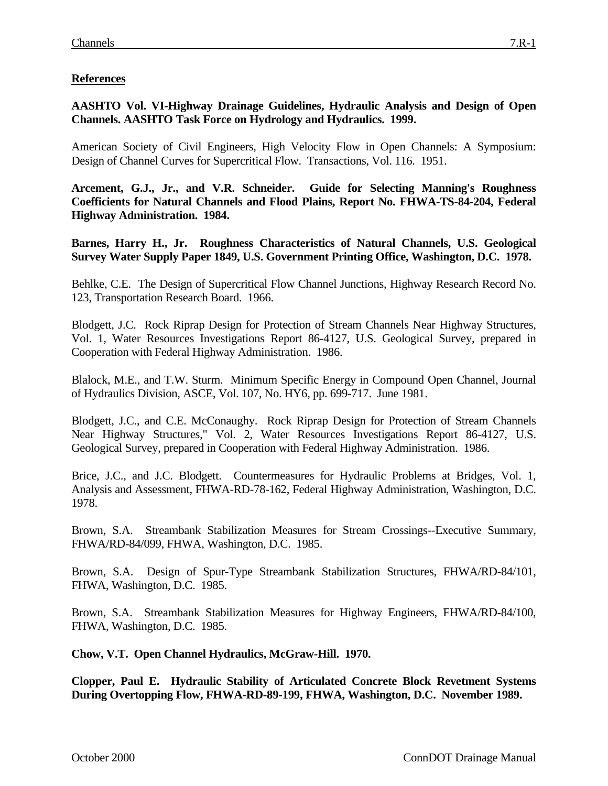## **References**

**AASHTO Vol. VI-Highway Drainage Guidelines, Hydraulic Analysis and Design of Open Channels. AASHTO Task Force on Hydrology and Hydraulics. 1999.**

American Society of Civil Engineers, High Velocity Flow in Open Channels: A Symposium: Design of Channel Curves for Supercritical Flow. Transactions, Vol. 116. 1951.

**Arcement, G.J., Jr., and V.R. Schneider. Guide for Selecting Manning's Roughness Coefficients for Natural Channels and Flood Plains, Report No. FHWA-TS-84-204, Federal Highway Administration. 1984.**

**Barnes, Harry H., Jr. Roughness Characteristics of Natural Channels, U.S. Geological Survey Water Supply Paper 1849, U.S. Government Printing Office, Washington, D.C. 1978.**

Behlke, C.E. The Design of Supercritical Flow Channel Junctions, Highway Research Record No. 123, Transportation Research Board. 1966.

Blodgett, J.C. Rock Riprap Design for Protection of Stream Channels Near Highway Structures, Vol. 1, Water Resources Investigations Report 86-4127, U.S. Geological Survey, prepared in Cooperation with Federal Highway Administration. 1986.

Blalock, M.E., and T.W. Sturm. Minimum Specific Energy in Compound Open Channel, Journal of Hydraulics Division, ASCE, Vol. 107, No. HY6, pp. 699-717. June 1981.

Blodgett, J.C., and C.E. McConaughy. Rock Riprap Design for Protection of Stream Channels Near Highway Structures," Vol. 2, Water Resources Investigations Report 86-4127, U.S. Geological Survey, prepared in Cooperation with Federal Highway Administration. 1986.

Brice, J.C., and J.C. Blodgett. Countermeasures for Hydraulic Problems at Bridges, Vol. 1, Analysis and Assessment, FHWA-RD-78-162, Federal Highway Administration, Washington, D.C. 1978.

Brown, S.A. Streambank Stabilization Measures for Stream Crossings--Executive Summary, FHWA/RD-84/099, FHWA, Washington, D.C. 1985.

Brown, S.A. Design of Spur-Type Streambank Stabilization Structures, FHWA/RD-84/101, FHWA, Washington, D.C. 1985.

Brown, S.A. Streambank Stabilization Measures for Highway Engineers, FHWA/RD-84/100, FHWA, Washington, D.C. 1985.

**Chow, V.T. Open Channel Hydraulics, McGraw-Hill. 1970.**

**Clopper, Paul E. Hydraulic Stability of Articulated Concrete Block Revetment Systems During Overtopping Flow, FHWA-RD-89-199, FHWA, Washington, D.C. November 1989.**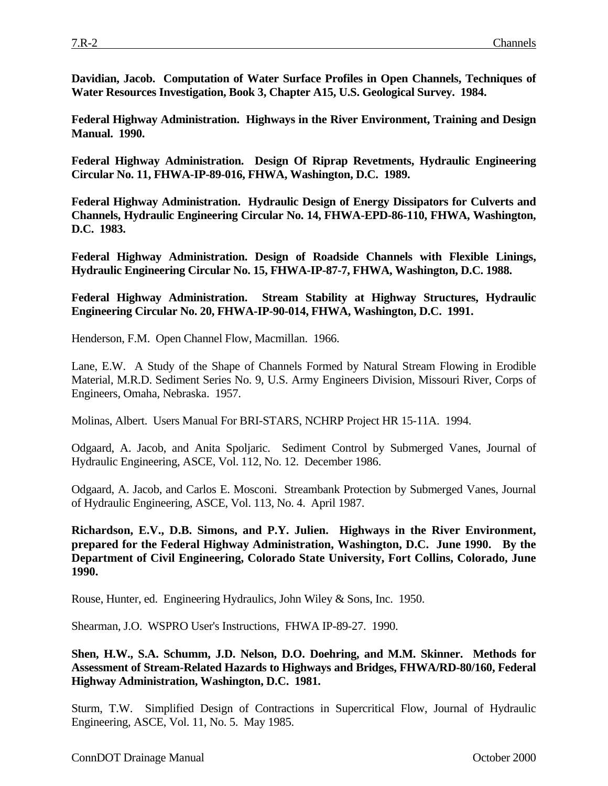**Davidian, Jacob. Computation of Water Surface Profiles in Open Channels, Techniques of Water Resources Investigation, Book 3, Chapter A15, U.S. Geological Survey. 1984.**

**Federal Highway Administration. Highways in the River Environment, Training and Design Manual. 1990.**

**Federal Highway Administration. Design Of Riprap Revetments, Hydraulic Engineering Circular No. 11, FHWA-IP-89-016, FHWA, Washington, D.C. 1989.**

**Federal Highway Administration. Hydraulic Design of Energy Dissipators for Culverts and Channels, Hydraulic Engineering Circular No. 14, FHWA-EPD-86-110, FHWA, Washington, D.C. 1983.**

**Federal Highway Administration. Design of Roadside Channels with Flexible Linings, Hydraulic Engineering Circular No. 15, FHWA-IP-87-7, FHWA, Washington, D.C. 1988.**

**Federal Highway Administration. Stream Stability at Highway Structures, Hydraulic Engineering Circular No. 20, FHWA-IP-90-014, FHWA, Washington, D.C. 1991.**

Henderson, F.M. Open Channel Flow, Macmillan. 1966.

Lane, E.W. A Study of the Shape of Channels Formed by Natural Stream Flowing in Erodible Material, M.R.D. Sediment Series No. 9, U.S. Army Engineers Division, Missouri River, Corps of Engineers, Omaha, Nebraska. 1957.

Molinas, Albert. Users Manual For BRI-STARS, NCHRP Project HR 15-11A. 1994.

Odgaard, A. Jacob, and Anita Spoljaric. Sediment Control by Submerged Vanes, Journal of Hydraulic Engineering, ASCE, Vol. 112, No. 12. December 1986.

Odgaard, A. Jacob, and Carlos E. Mosconi. Streambank Protection by Submerged Vanes, Journal of Hydraulic Engineering, ASCE, Vol. 113, No. 4. April 1987.

**Richardson, E.V., D.B. Simons, and P.Y. Julien. Highways in the River Environment, prepared for the Federal Highway Administration, Washington, D.C. June 1990. By the Department of Civil Engineering, Colorado State University, Fort Collins, Colorado, June 1990.**

Rouse, Hunter, ed. Engineering Hydraulics, John Wiley & Sons, Inc. 1950.

Shearman, J.O. WSPRO User's Instructions, FHWA IP-89-27. 1990.

**Shen, H.W., S.A. Schumm, J.D. Nelson, D.O. Doehring, and M.M. Skinner. Methods for Assessment of Stream-Related Hazards to Highways and Bridges, FHWA/RD-80/160, Federal Highway Administration, Washington, D.C. 1981.**

Sturm, T.W. Simplified Design of Contractions in Supercritical Flow, Journal of Hydraulic Engineering, ASCE, Vol. 11, No. 5. May 1985.